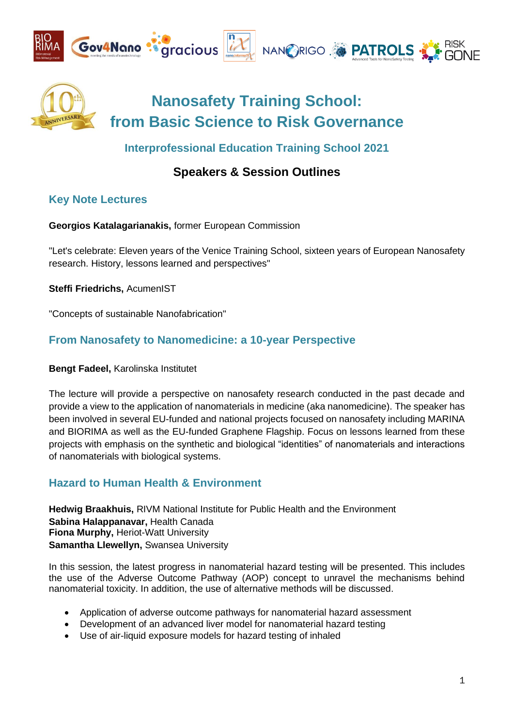

# **Nanosafety Training School: from Basic Science to Risk Governance**

## **Interprofessional Education Training School 2021**

# **Speakers & Session Outlines**

## **Key Note Lectures**

#### **Georgios Katalagarianakis,** former European Commission

"Let's celebrate: Eleven years of the Venice Training School, sixteen years of European Nanosafety research. History, lessons learned and perspectives"

**Steffi Friedrichs,** AcumenIST

"Concepts of sustainable Nanofabrication"

## **From Nanosafety to Nanomedicine: a 10-year Perspective**

#### **Bengt Fadeel,** Karolinska Institutet

The lecture will provide a perspective on nanosafety research conducted in the past decade and provide a view to the application of nanomaterials in medicine (aka nanomedicine). The speaker has been involved in several EU-funded and national projects focused on nanosafety including MARINA and BIORIMA as well as the EU-funded Graphene Flagship. Focus on lessons learned from these projects with emphasis on the synthetic and biological "identities" of nanomaterials and interactions of nanomaterials with biological systems.

## **Hazard to Human Health & Environment**

**Hedwig Braakhuis,** RIVM National Institute for Public Health and the Environment **Sabina Halappanavar,** Health Canada **Fiona Murphy,** Heriot-Watt University **Samantha Llewellyn,** Swansea University

In this session, the latest progress in nanomaterial hazard testing will be presented. This includes the use of the Adverse Outcome Pathway (AOP) concept to unravel the mechanisms behind nanomaterial toxicity. In addition, the use of alternative methods will be discussed.

- Application of adverse outcome pathways for nanomaterial hazard assessment
- Development of an advanced liver model for nanomaterial hazard testing
- Use of air-liquid exposure models for hazard testing of inhaled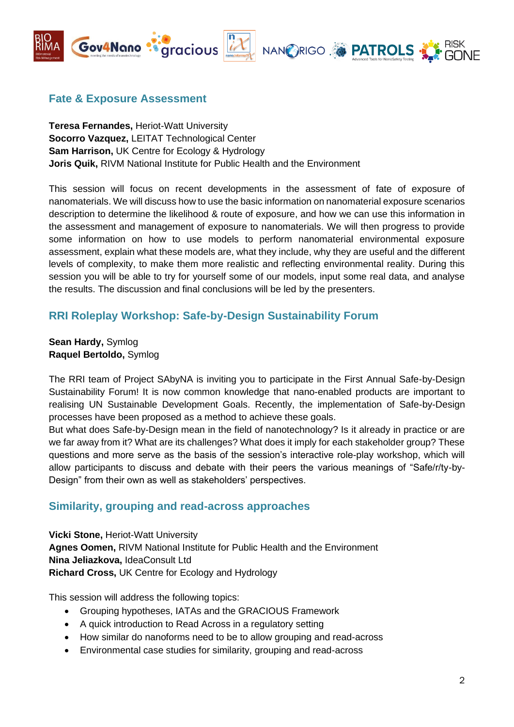

## **Fate & Exposure Assessment**

**Teresa Fernandes,** Heriot-Watt University **Socorro Vazquez,** LEITAT Technological Center **Sam Harrison,** UK Centre for Ecology & Hydrology **Joris Quik,** RIVM National Institute for Public Health and the Environment

This session will focus on recent developments in the assessment of fate of exposure of nanomaterials. We will discuss how to use the basic information on nanomaterial exposure scenarios description to determine the likelihood & route of exposure, and how we can use this information in the assessment and management of exposure to nanomaterials. We will then progress to provide some information on how to use models to perform nanomaterial environmental exposure assessment, explain what these models are, what they include, why they are useful and the different levels of complexity, to make them more realistic and reflecting environmental reality. During this session you will be able to try for yourself some of our models, input some real data, and analyse the results. The discussion and final conclusions will be led by the presenters.

## **RRI Roleplay Workshop: Safe-by-Design Sustainability Forum**

**Sean Hardy,** Symlog **Raquel Bertoldo,** Symlog

The RRI team of Project SAbyNA is inviting you to participate in the First Annual Safe-by-Design Sustainability Forum! It is now common knowledge that nano-enabled products are important to realising UN Sustainable Development Goals. Recently, the implementation of Safe-by-Design processes have been proposed as a method to achieve these goals.

But what does Safe-by-Design mean in the field of nanotechnology? Is it already in practice or are we far away from it? What are its challenges? What does it imply for each stakeholder group? These questions and more serve as the basis of the session's interactive role-play workshop, which will allow participants to discuss and debate with their peers the various meanings of "Safe/r/ty-by-Design" from their own as well as stakeholders' perspectives.

## **Similarity, grouping and read-across approaches**

**Vicki Stone,** Heriot-Watt University **Agnes Oomen,** RIVM National Institute for Public Health and the Environment **Nina Jeliazkova,** IdeaConsult Ltd **Richard Cross,** UK Centre for Ecology and Hydrology

This session will address the following topics:

- Grouping hypotheses, IATAs and the GRACIOUS Framework
- A quick introduction to Read Across in a regulatory setting
- How similar do nanoforms need to be to allow grouping and read-across
- Environmental case studies for similarity, grouping and read-across